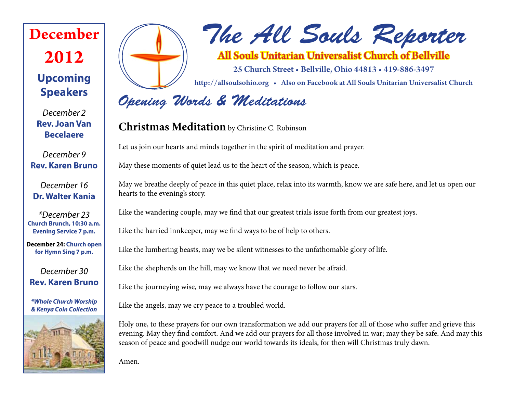# **Upcoming December 2012**

# *The All Souls Reporter*

All Souls Unitarian Universalist Church of Bellville

25 Church Street • Bellville, Ohio 44813 • 419-886-3497

http://allsoulsohio.org • Also on Facebook at All Souls Unitarian Universalist Church

# *Opening Words & Meditations*

### **Christmas Meditation** by Christine C. Robinson

Let us join our hearts and minds together in the spirit of meditation and prayer.

May these moments of quiet lead us to the heart of the season, which is peace.

May we breathe deeply of peace in this quiet place, relax into its warmth, know we are safe here, and let us open our hearts to the evening's story.

Like the wandering couple, may we find that our greatest trials issue forth from our greatest joys.

Like the harried innkeeper, may we find ways to be of help to others.

Like the lumbering beasts, may we be silent witnesses to the unfathomable glory of life.

Like the shepherds on the hill, may we know that we need never be afraid.

Like the journeying wise, may we always have the courage to follow our stars.

Like the angels, may we cry peace to a troubled world.

Holy one, to these prayers for our own transformation we add our prayers for all of those who suffer and grieve this evening. May they find comfort. And we add our prayers for all those involved in war; may they be safe. And may this season of peace and goodwill nudge our world towards its ideals, for then will Christmas truly dawn.

Amen.

*December 2* **Rev. Joan Van Becelaere**

**Speakers**

*December 9* **Rev. Karen Bruno**

*December 16* **Dr. Walter Kania**

*\*December 23* **Church Brunch, 10:30 a.m. Evening Service 7 p.m.**

**December 24: Church open for Hymn Sing 7 p.m.**

*December 30* **Rev. Karen Bruno**

*\*Whole Church Worship & Kenya Coin Collection*

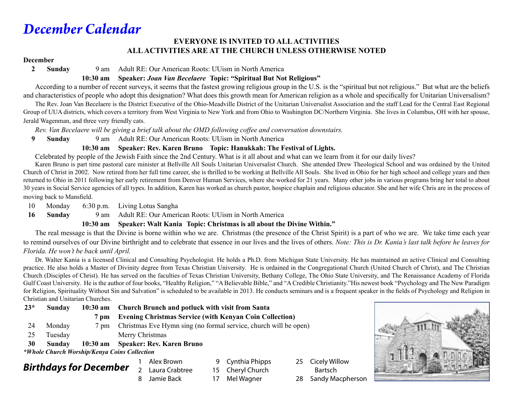# *December Calendar*

#### **EVERYONE IS INVITED TO ALL ACTIVITIES ALL ACTIVITIES ARE AT THE CHURCH UNLESS OTHERWISE NOTED**

#### **December**

**2 Sunday** 9 am Adult RE: Our American Roots: UUism in North America

#### **10:30 am Speaker:** *Joan Van Becelaere* **Topic: "Spiritual But Not Religious"**

 According to a number of recent surveys, it seems that the fastest growing religious group in the U.S. is the "spiritual but not religious." But what are the beliefs and characteristics of people who adopt this designation? What does this growth mean for American religion as a whole and specifically for Unitarian Universalism?

The Rev. Joan Van Becelaere is the District Executive of the Ohio-Meadville District of the Unitarian Universalist Association and the staff Lead for the Central East Regional Group of UUA districts, which covers a territory from West Virginia to New York and from Ohio to Washington DC/Northern Virginia. She lives in Columbus, OH with her spouse, Jerald Wagenman, and three very friendly cats.

 *Rev. Van Becelaere will be giving a brief talk about the OMD following coffee and conversation downstairs.*

**9 Sunday** 9 am Adult RE: Our American Roots: UUism in North America

#### **10:30 am Speaker: Rev. Karen Bruno Topic: Hanukkah: The Festival of Lights.**

Celebrated by people of the Jewish Faith since the 2nd Century. What is it all about and what can we learn from it for our daily lives?

Karen Bruno is part time pastoral care minister at Bellville All Souls Unitarian Universalist Church. She attended Drew Theological School and was ordained by the United Church of Christ in 2002. Now retired from her full time career, she is thrilled to be working at Bellville All Souls. She lived in Ohio for her high school and college years and then returned to Ohio in 2011 following her early retirement from Denver Human Services, where she worked for 21 years. Many other jobs in various programs bring her total to about 30 years in Social Service agencies of all types. In addition, Karen has worked as church pastor, hospice chaplain and religious educator. She and her wife Chris are in the process of moving back to Mansfield.

10 Monday 6:30 p.m. Living Lotus Sangha

**16 Sunday** 9 am Adult RE: Our American Roots: UUism in North America

**10:30 am Speaker: Walt Kania Topic: Christmas is all about the Divine Within."**

 The real message is that the Divine is borne within who we are. Christmas (the presence of the Christ Spirit) is a part of who we are. We take time each year to remind ourselves of our Divine birthright and to celebrate that essence in our lives and the lives of others. *Note: This is Dr. Kania's last talk before he leaves for Florida. He won't be back until April.*

Dr. Walter Kania is a licensed Clinical and Consulting Psychologist. He holds a Ph.D. from Michigan State University. He has maintained an active Clinical and Consulting practice. He also holds a Master of Divinity degree from Texas Christian University. He is ordained in the Congregational Church (United Church of Christ), and The Christian Church (Disciples of Christ). He has served on the faculties of Texas Christian University, Bethany College, The Ohio State University, and The Renaissance Academy of Florida Gulf Coast University. He is the author of four books, "Healthy Religion," "A Believable Bible," and "A Credible Christianity." His newest book "Psychology and The New Paradigm for Religion, Spirituality Without Sin and Salvation" is scheduled to be available in 2013. He conducts seminars and is a frequent speaker in the fields of Psychology and Religion in Christian and Unitarian Churches.

> 9 Cynthia Phipps 15 Cheryl Church

| $23*$                                        | Sunday  |                | 10:30 am Church Brunch and potluck with visit from Santa         |  |  |  |
|----------------------------------------------|---------|----------------|------------------------------------------------------------------|--|--|--|
|                                              |         | 7 pm           | <b>Evening Christmas Service (with Kenyan Coin Collection)</b>   |  |  |  |
| 24                                           | Monday  | $7 \text{ nm}$ | Christmas Eve Hymn sing (no formal service, church will be open) |  |  |  |
| 25                                           | Tuesday |                | Merry Christmas                                                  |  |  |  |
| 30                                           | Sunday  |                | 10:30 am Speaker: Rev. Karen Bruno                               |  |  |  |
| *Whole Church Worship/Kenya Coins Collection |         |                |                                                                  |  |  |  |

### *Birthdays for December*

- 1 Alex Brown
- 2 Laura Crabtree
- 8 Jamie Back
- 17 Mel Wagner
- 25 Cicely Willow Bartsch 28 Sandy Macpherson

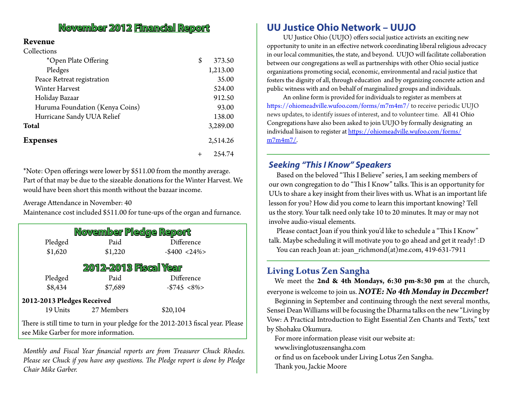### **November 2012 Financial Report**

#### **Revenue**

| Collections |
|-------------|
|             |

| *Open Plate Offering            | \$<br>373.50 |
|---------------------------------|--------------|
| Pledges                         | 1,213.00     |
| Peace Retreat registration      | 35.00        |
| <b>Winter Harvest</b>           | 524.00       |
| Holiday Bazaar                  | 912.50       |
| Huruma Foundation (Kenya Coins) | 93.00        |
| Hurricane Sandy UUA Relief      | 138.00       |
| Total                           | 3,289.00     |
| Expenses                        | 2,514.26     |
|                                 | 254.74       |

\*Note: Open offerings were lower by \$511.00 from the monthy average. Part of that may be due to the sizeable donations for the Winter Harvest. We would have been short this month without the bazaar income.

Average Attendance in November: 40

Maintenance cost included \$511.00 for tune-ups of the organ and furnance.

| November Pledge Report     |                                       |                                                                                  |  |  |  |  |  |
|----------------------------|---------------------------------------|----------------------------------------------------------------------------------|--|--|--|--|--|
| Pledged                    | Paid                                  | Difference                                                                       |  |  |  |  |  |
| \$1,620                    | \$1,220                               | $-$400 < 24\%$                                                                   |  |  |  |  |  |
|                            | <b>2012-2013 Fiscal Year</b>          |                                                                                  |  |  |  |  |  |
| Pledged                    | Paid                                  | Difference                                                                       |  |  |  |  |  |
| \$8,434                    | \$7,689                               | $-$745 < 8\%$                                                                    |  |  |  |  |  |
| 2012-2013 Pledges Received |                                       |                                                                                  |  |  |  |  |  |
| 19 Units                   | 27 Members                            | \$20,104                                                                         |  |  |  |  |  |
|                            | see Mike Garber for more information. | There is still time to turn in your pledge for the 2012-2013 fiscal year. Please |  |  |  |  |  |

*Monthly and Fiscal Year financial reports are from Treasurer Chuck Rhodes. Please see Chuck if you have any questions. The Pledge report is done by Pledge Chair Mike Garber.*

### **UU Justice Ohio Network – UUJO**

 UU Justice Ohio (UUJO) offers social justice activists an exciting new opportunity to unite in an effective network coordinating liberal religious advocacy in our local communities, the state, and beyond. UUJO will facilitate collaboration between our congregations as well as partnerships with other Ohio social justice organizations promoting social, economic, environmental and racial justice that fosters the dignity of all, through education and by organizing concrete action and public witness with and on behalf of marginalized groups and individuals.

 An online form is provided for individuals to register as members at https://ohiomeadville.wufoo.com/forms/m7m4m7/ to receive periodic UUJO news updates, to identify issues of interest, and to volunteer time. All 41 Ohio Congregations have also been asked to join UUJO by formally designating an individual liaison to register at https://ohiomeadville.wufoo.com/forms/ m7m4m7/.

#### *Seeking "This I Know" Speakers*

Based on the beloved "This I Believe" series, I am seeking members of our own congregation to do "This I Know" talks. This is an opportunity for UUs to share a key insight from their lives with us. What is an important life lesson for you? How did you come to learn this important knowing? Tell us the story. Your talk need only take 10 to 20 minutes. It may or may not involve audio-visual elements.

Please contact Joan if you think you'd like to schedule a "This I Know" talk. Maybe scheduling it will motivate you to go ahead and get it ready! :D You can reach Joan at: joan richmond(at)me.com, 419-631-7911

#### **Living Lotus Zen Sangha**

We meet the **2nd & 4th Mondays, 6:30 pm-8:30 pm** at the church, everyone is welcome to join us. *NOTE: No 4th Monday in December!*

Beginning in September and continuing through the next several months, Sensei Dean Williams will be focusing the Dharma talks on the new "Living by Vow: A Practical Introduction to Eight Essential Zen Chants and Texts," text by Shohaku Okumura.

For more information please visit our website at:

www.livinglotuszensangha.com

or find us on facebook under Living Lotus Zen Sangha.

Thank you, Jackie Moore